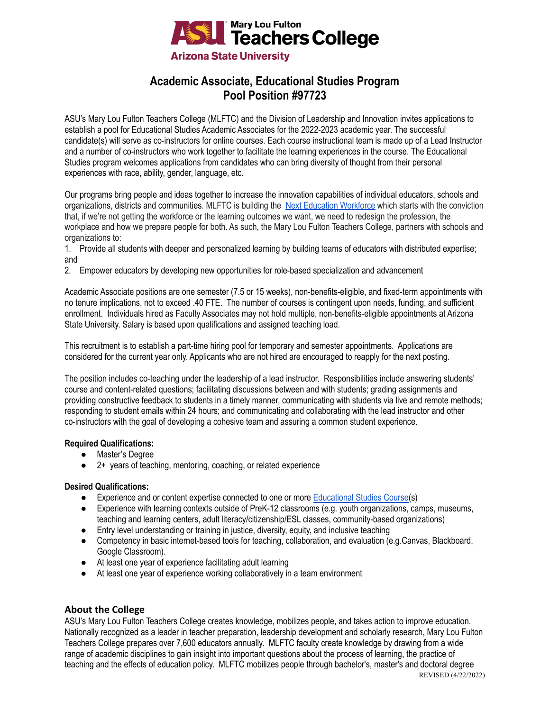

# **Academic Associate, Educational Studies Program Pool Position #97723**

ASU's Mary Lou Fulton Teachers College (MLFTC) and the Division of Leadership and Innovation invites applications to establish a pool for Educational Studies Academic Associates for the 2022-2023 academic year. The successful candidate(s) will serve as co-instructors for online courses. Each course instructional team is made up of a Lead Instructor and a number of co-instructors who work together to facilitate the learning experiences in the course. The Educational Studies program welcomes applications from candidates who can bring diversity of thought from their personal experiences with race, ability, gender, language, etc.

Our programs bring people and ideas together to increase the innovation capabilities of individual educators, schools and organizations, districts and communities. MLFTC is building the [Next Education Workforce](https://workforce.education.asu.edu/?utm_source=mlftc&utm_medium=redirect&utm_campaign=top_nav) which starts with the conviction that, if we're not getting the workforce or the learning outcomes we want, we need to redesign the profession, the workplace and how we prepare people for both. As such, the Mary Lou Fulton Teachers College, partners with schools and organizations to:

1. Provide all students with deeper and personalized learning by building teams of educators with distributed expertise; and

2. Empower educators by developing new opportunities for role-based specialization and advancement

Academic Associate positions are one semester (7.5 or 15 weeks), non-benefits-eligible, and fixed-term appointments with no tenure implications, not to exceed .40 FTE. The number of courses is contingent upon needs, funding, and sufficient enrollment. Individuals hired as Faculty Associates may not hold multiple, non-benefits-eligible appointments at Arizona State University. Salary is based upon qualifications and assigned teaching load.

This recruitment is to establish a part-time hiring pool for temporary and semester appointments. Applications are considered for the current year only. Applicants who are not hired are encouraged to reapply for the next posting.

The position includes co-teaching under the leadership of a lead instructor. Responsibilities include answering students' course and content-related questions; facilitating discussions between and with students; grading assignments and providing constructive feedback to students in a timely manner, communicating with students via live and remote methods; responding to student emails within 24 hours; and communicating and collaborating with the lead instructor and other co-instructors with the goal of developing a cohesive team and assuring a common student experience.

#### **Required Qualifications:**

- Master's Degree
- 2+ years of teaching, mentoring, coaching, or related experience

# **Desired Qualifications:**

- Experience and or content expertise connected to one or more [Educational Studies Course](https://docs.google.com/document/d/19g2O7HX5_Cpqh7HU7i2GhOg0BqNK48aKAyIKbGrm0PE/edit?usp=sharing)(s)
- Experience with learning contexts outside of PreK-12 classrooms (e.g. youth organizations, camps, museums, teaching and learning centers, adult literacy/citizenship/ESL classes, community-based organizations)
- Entry level understanding or training in justice, diversity, equity, and inclusive teaching
- Competency in basic internet-based tools for teaching, collaboration, and evaluation (e.g.Canvas, Blackboard, Google Classroom).
- At least one year of experience facilitating adult learning
- At least one year of experience working collaboratively in a team environment

# **About the College**

ASU's Mary Lou Fulton Teachers College creates knowledge, mobilizes people, and takes action to improve education. Nationally recognized as a leader in teacher preparation, leadership development and scholarly research, Mary Lou Fulton Teachers College prepares over 7,600 educators annually. MLFTC faculty create knowledge by drawing from a wide range of academic disciplines to gain insight into important questions about the process of learning, the practice of teaching and the effects of education policy. MLFTC mobilizes people through bachelor's, master's and doctoral degree